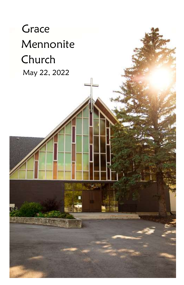# **Grace**  Mennonite Church May 22, 2022

i<br>K Ē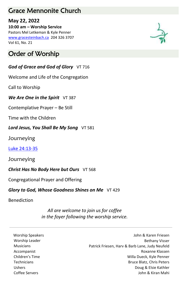## Grace Mennonite Church

#### **May 22, 2022**

**10:00 am – Worship Service** Pastors Mel Letkeman & Kyle Penner [www.gracesteinbach.ca](http://www.gracesteinbach.ca/) 204 326 3707 Vol 61, No. 21

## Order of Worship

#### *God of Grace and God of Glory* VT 716

Welcome and Life of the Congregation

Call to Worship

**We Are One in the Spirit** VT 387

Contemplative Prayer – Be Still

Time with the Children

Lord Jesus, You Shall Be My Song VT 581

**Journeying** 

[Luke 24:13-35](https://www.biblegateway.com/passage/?search=Luke+24%3A13-35&version=NRSVUE)

**Journeying** 

**Christ Has No Body Here but Ours** VT 568

Congregational Prayer and Offering

*Glory to God, Whose Goodness Shines on Me* VT 429

Benediction

*All are welcome to join us for coffee in the foyer following the worship service.*

Worship Speakers **Material Speakers** John & Karen Friesen Worship Leader **Bethany Visser** Bethany Visser Musicians Patrick Friesen, Harv & Barb Lane, Judy Neufeld Accompanist Roxanne Klassen Children's Time Willa Dueck, Kyle Penner Technicians Bruce Blatz, Chris Peters Ushers Doug & Elsie Kathler Coffee Servers John & Kiran Mahi

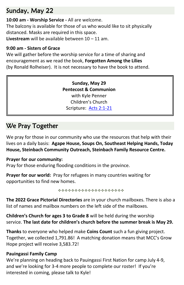## Sunday, May 22

**10:00 am - Worship Service -** All are welcome. The balcony is available for those of us who would like to sit physically distanced. Masks are required in this space. **Livestream** will be available between 10 – 11 am.

#### **9:00 am - Sisters of Grace**

We will gather before the worship service for a time of sharing and encouragement as we read the book, **Forgotten Among the Lilies**  (by Ronald Rolheiser). It is not necessary to have the book to attend.

> **Sunday, May 29 Pentecost & Communion** with Kyle Penner Children's Church Scripture: [Acts 2:1-21](https://www.biblegateway.com/passage/?search=Acts+2%3A1-21&version=NRSVUE)

# We Pray Together

We pray for those in our community who use the resources that help with their lives on a daily basis: **Agape House, Soups On, Southeast Helping Hands, Today House, Steinbach Community Outreach, Steinbach Family Resource Centre.**

#### **Prayer for our community:**

Pray for those enduring flooding conditions in the province.

**Prayer for our world:** Pray for refugees in many countries waiting for opportunities to find new homes.

\*\*\*\*\*\*\*\*\*\*\*\*\*\*\*\*\*\*\*\*

**The 2022 Grace Pictorial Directories** are in your church mailboxes. There is also a list of names and mailbox numbers on the left side of the mailboxes.

**Children's Church for ages 3 to Grade 8** will be held during the worship service. **The last date for children's church before the summer break is May 29.**

**Thanks** to everyone who helped make **Coins Count** such a fun giving project. Together, we collected 1,791.86! A matching donation means that MCC's Grow Hope project will receive 3,583.72!

#### **Pauingassi Family Camp**

We're planning on heading back to Pauingassi First Nation for camp July 4-9, and we're looking for 3-4 more people to complete our roster! If you're interested in coming, please talk to Kyle!